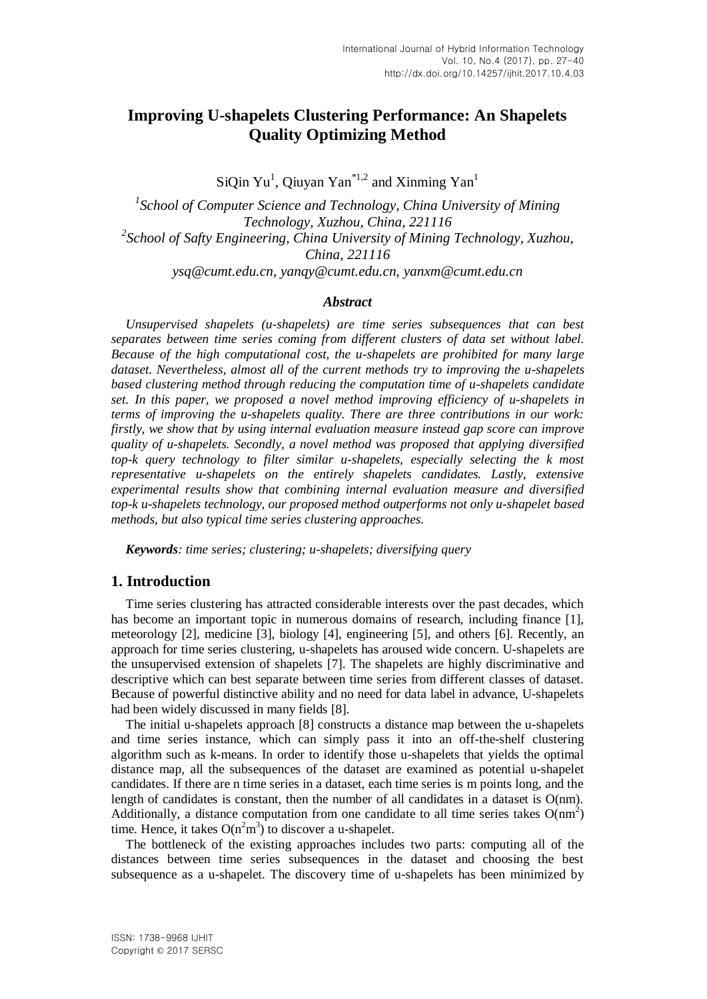# **Improving U-shapelets Clustering Performance: An Shapelets Quality Optimizing Method**

SiQin Yu<sup>1</sup>, Qiuyan Yan<sup>\*1,2</sup> and Xinming Yan<sup>1</sup>

<sup>1</sup> School of Computer Science and Technology, China University of Mining *Technology, Xuzhou, China, 221116 2 School of Safty Engineering, China University of Mining Technology, Xuzhou, China, 221116 ysq@cumt.edu.cn, yanqy@cumt.edu.cn, yanxm@cumt.edu.cn*

### *Abstract*

*Unsupervised shapelets (u-shapelets) are time series subsequences that can best separates between time series coming from different clusters of data set without label. Because of the high computational cost, the u-shapelets are prohibited for many large dataset. Nevertheless, almost all of the current methods try to improving the u-shapelets based clustering method through reducing the computation time of u-shapelets candidate set. In this paper, we proposed a novel method improving efficiency of u-shapelets in terms of improving the u-shapelets quality. There are three contributions in our work: firstly, we show that by using internal evaluation measure instead gap score can improve quality of u-shapelets. Secondly, a novel method was proposed that applying diversified top-k query technology to filter similar u-shapelets, especially selecting the k most representative u-shapelets on the entirely shapelets candidates. Lastly, extensive experimental results show that combining internal evaluation measure and diversified top-k u-shapelets technology, our proposed method outperforms not only u-shapelet based methods, but also typical time series clustering approaches.*

*Keywords: time series; clustering; u-shapelets; diversifying query*

## **1. Introduction**

Time series clustering has attracted considerable interests over the past decades, which has become an important topic in numerous domains of research, including finance [\[1\],](#page-11-0) meteorology [\[2\],](#page-11-1) medicine [\[3\],](#page-11-2) biology [\[4\],](#page-11-3) engineering [\[5\],](#page-11-4) and others [\[6\].](#page-11-5) Recently, an approach for time series clustering, u-shapelets has aroused wide concern. U-shapelets are the unsupervised extension of shapelets [\[7\].](#page-12-0) The shapelets are highly discriminative and descriptive which can best separate between time series from different classes of dataset. Because of powerful distinctive ability and no need for data label in advance, U-shapelets had been widely discussed in many fields [\[8\].](#page-12-1)

The initial u-shapelets approach [\[8\]](#page-12-1) constructs a distance map between the u-shapelets and time series instance, which can simply pass it into an off-the-shelf clustering algorithm such as k-means. In order to identify those u-shapelets that yields the optimal distance map, all the subsequences of the dataset are examined as potential u-shapelet candidates. If there are n time series in a dataset, each time series is m points long, and the length of candidates is constant, then the number of all candidates in a dataset is O(nm). Additionally, a distance computation from one candidate to all time series takes  $O(nm^2)$ time. Hence, it takes  $O(n^2m^3)$  to discover a u-shapelet.

The bottleneck of the existing approaches includes two parts: computing all of the distances between time series subsequences in the dataset and choosing the best subsequence as a u-shapelet. The discovery time of u-shapelets has been minimized by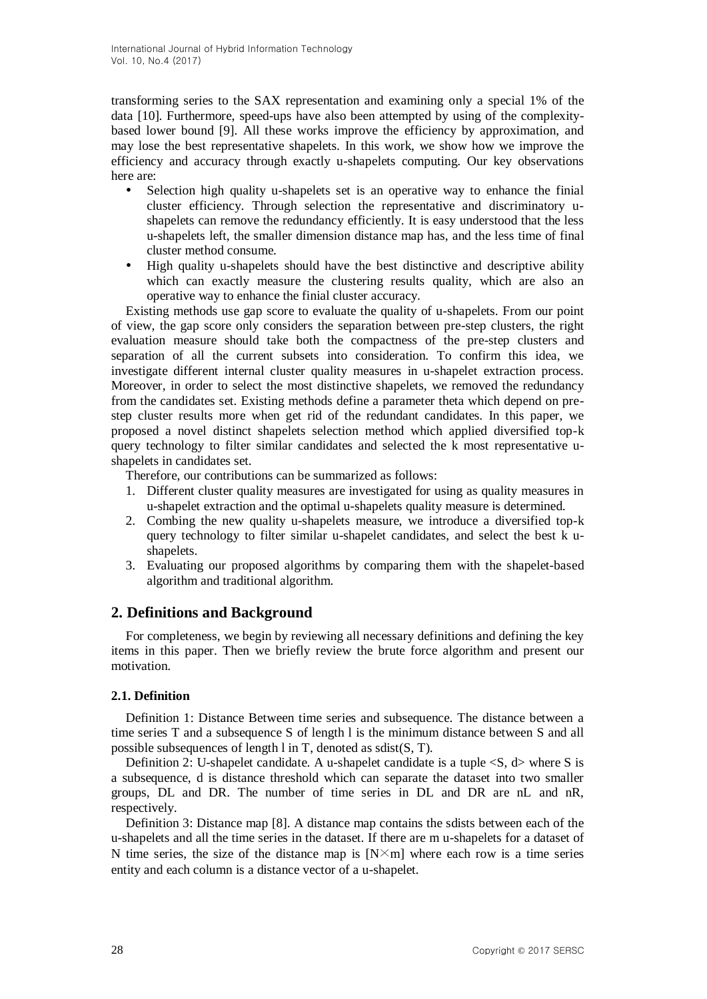transforming series to the SAX representation and examining only a special 1% of the data [\[10\].](#page-12-2) Furthermore, speed-ups have also been attempted by using of the complexitybased lower bound [\[9\].](#page-12-3) All these works improve the efficiency by approximation, and may lose the best representative shapelets. In this work, we show how we improve the efficiency and accuracy through exactly u-shapelets computing. Our key observations here are:

- Selection high quality u-shapelets set is an operative way to enhance the finial cluster efficiency. Through selection the representative and discriminatory ushapelets can remove the redundancy efficiently. It is easy understood that the less u-shapelets left, the smaller dimension distance map has, and the less time of final cluster method consume.
- High quality u-shapelets should have the best distinctive and descriptive ability which can exactly measure the clustering results quality, which are also an operative way to enhance the finial cluster accuracy.

Existing methods use gap score to evaluate the quality of u-shapelets. From our point of view, the gap score only considers the separation between pre-step clusters, the right evaluation measure should take both the compactness of the pre-step clusters and separation of all the current subsets into consideration. To confirm this idea, we investigate different internal cluster quality measures in u-shapelet extraction process. Moreover, in order to select the most distinctive shapelets, we removed the redundancy from the candidates set. Existing methods define a parameter theta which depend on prestep cluster results more when get rid of the redundant candidates. In this paper, we proposed a novel distinct shapelets selection method which applied diversified top-k query technology to filter similar candidates and selected the k most representative ushapelets in candidates set.

Therefore, our contributions can be summarized as follows:

- 1. Different cluster quality measures are investigated for using as quality measures in u-shapelet extraction and the optimal u-shapelets quality measure is determined.
- 2. Combing the new quality u-shapelets measure, we introduce a diversified top-k query technology to filter similar u-shapelet candidates, and select the best k ushapelets.
- 3. Evaluating our proposed algorithms by comparing them with the shapelet-based algorithm and traditional algorithm.

# **2. Definitions and Background**

For completeness, we begin by reviewing all necessary definitions and defining the key items in this paper. Then we briefly review the brute force algorithm and present our motivation.

### **2.1. Definition**

Definition 1: Distance Between time series and subsequence. The distance between a time series T and a subsequence S of length l is the minimum distance between S and all possible subsequences of length l in T, denoted as sdist(S, T).

Definition 2: U-shapelet candidate. A u-shapelet candidate is a tuple  $\langle S, d \rangle$  where S is a subsequence, d is distance threshold which can separate the dataset into two smaller groups, DL and DR. The number of time series in DL and DR are nL and nR, respectively.

Definition 3: Distance map [\[8\].](#page-12-1) A distance map contains the sdists between each of the u-shapelets and all the time series in the dataset. If there are m u-shapelets for a dataset of N time series, the size of the distance map is  $[N \times m]$  where each row is a time series entity and each column is a distance vector of a u-shapelet.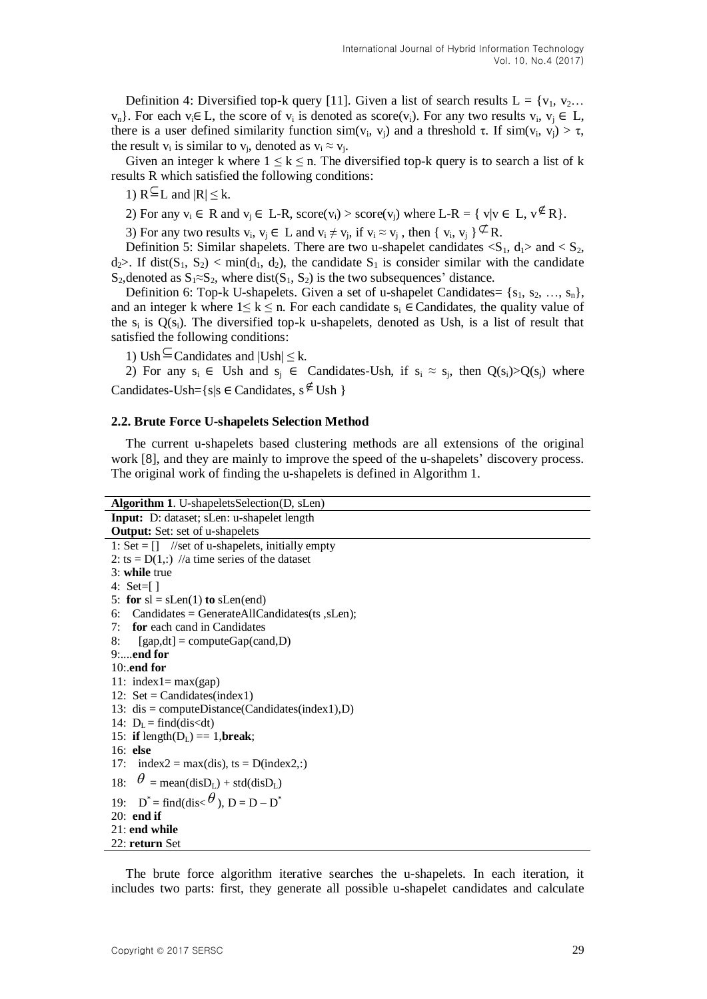Definition 4: Diversified top-k query [\[11\].](#page-12-4) Given a list of search results  $L = \{v_1, v_2...\}$  $v_n$ . For each  $v_i \in L$ , the score of  $v_i$  is denoted as score( $v_i$ ). For any two results  $v_i$ ,  $v_j \in L$ , there is a user defined similarity function  $sim(v_i, v_j)$  and a threshold  $\tau$ . If  $sim(v_i, v_j) > \tau$ , the result  $v_i$  is similar to  $v_j$ , denoted as  $v_i \approx v_j$ .

Given an integer k where  $1 \leq k \leq n$ . The diversified top-k query is to search a list of k results R which satisfied the following conditions:

- 1)  $R^{\subseteq}L$  and  $|R| \leq k$ .
- 2) For any  $v_i \in R$  and  $v_j \in L-R$ , score $(v_i) > score(v_j)$  where  $L-R = \{ v | v \in L, v \notin R \}$ .

3) For any two results  $v_i$ ,  $v_j \in L$  and  $v_i \neq v_j$ , if  $v_i \approx v_j$ , then  $\{v_i, v_j\} \nsubseteq R$ .

Definition 5: Similar shapelets. There are two u-shapelet candidates  $\langle S_1, d_1 \rangle$  and  $\langle S_2, d_1 \rangle$  $d_2$ . If dist(S<sub>1</sub>, S<sub>2</sub>) < min( $d_1$ ,  $d_2$ ), the candidate S<sub>1</sub> is consider similar with the candidate S<sub>2</sub>, denoted as  $S_1 \approx S_2$ , where dist(S<sub>1</sub>, S<sub>2</sub>) is the two subsequences' distance.

Definition 6: Top-k U-shapelets. Given a set of u-shapelet Candidates=  $\{s_1, s_2, ..., s_n\}$ , and an integer k where  $1 \le k \le n$ . For each candidate  $s_i \in$  Candidates, the quality value of the s<sub>i</sub> is  $O(s_i)$ . The diversified top-k u-shapelets, denoted as Ush, is a list of result that satisfied the following conditions:

1) Ush  $\subseteq$  Candidates and  $|Ush| \leq k$ .

2) For any  $s_i \in Ush$  and  $s_j \in$  Candidates-Ush, if  $s_i \approx s_j$ , then  $Q(s_i) > Q(s_j)$  where Candidates-Ush= $\{s | s \in$ Candidates,  $s \notin$ Ush  $\}$ 

#### **2.2. Brute Force U-shapelets Selection Method**

The current u-shapelets based clustering methods are all extensions of the original work [\[8\],](#page-12-1) and they are mainly to improve the speed of the u-shapelets' discovery process. The original work of finding the u-shapelets is defined in Algorithm 1.

| <b>Algorithm 1.</b> U-shapeletsSelection(D, sLen)                              |
|--------------------------------------------------------------------------------|
| Input: D: dataset; sLen: u-shapelet length                                     |
| <b>Output:</b> Set: set of u-shapelets                                         |
| 1: Set = $\begin{bmatrix} \end{bmatrix}$ //set of u-shapelets, initially empty |
| 2: ts = $D(1,:)$ //a time series of the dataset                                |
| $3:$ while true                                                                |
| 4: $Set=[]$                                                                    |
| 5: for $sl = sLen(1)$ to $slen(end)$                                           |
| 6: Candidates = GenerateAllCandidates(ts, sLen);                               |
| 7: <b>for</b> each cand in Candidates                                          |
| 8:<br>[gap,dt] = computeGap(cand,D)                                            |
| $9:$ end for                                                                   |
| $10$ : end for                                                                 |
| 11: $index 1 = max(gap)$                                                       |
| 12: $Set = Candidates(index1)$                                                 |
| 13: $dis = computeDistance(Candidates(index1),D)$                              |
| 14: $D_L = find(dis < dt)$                                                     |
| 15: if length( $D_L$ ) == 1, break;                                            |
| $16:$ else                                                                     |
| 17: index2 = max(dis), ts = $D(index2,:)$                                      |
| $\theta$ = mean(disD <sub>L</sub> ) + std(disD <sub>L</sub> )<br>18:           |
| 19: $D^* = \text{find}(dis < \theta), D = D - D^*$                             |
| $20:$ end if                                                                   |
| $21:$ end while                                                                |
| 22: return Set                                                                 |

The brute force algorithm iterative searches the u-shapelets. In each iteration, it includes two parts: first, they generate all possible u-shapelet candidates and calculate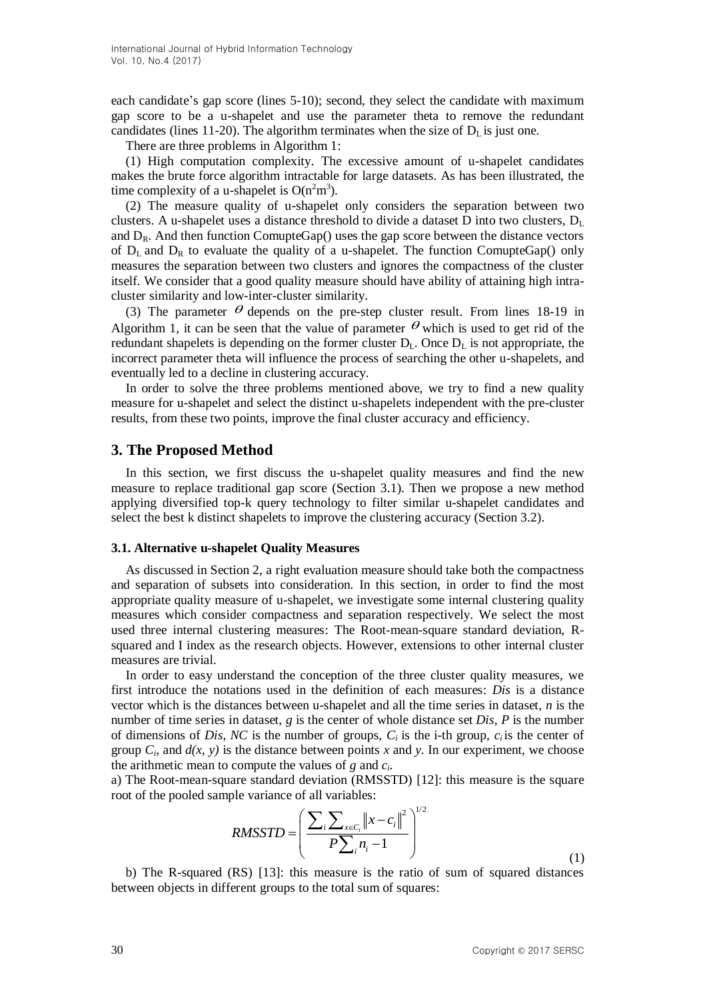each candidate's gap score (lines 5-10); second, they select the candidate with maximum gap score to be a u-shapelet and use the parameter theta to remove the redundant candidates (lines 11-20). The algorithm terminates when the size of  $D<sub>L</sub>$  is just one.

There are three problems in Algorithm 1:

(1) High computation complexity. The excessive amount of u-shapelet candidates makes the brute force algorithm intractable for large datasets. As has been illustrated, the time complexity of a u-shapelet is  $O(n^2m^3)$ .

(2) The measure quality of u-shapelet only considers the separation between two clusters. A u-shapelet uses a distance threshold to divide a dataset D into two clusters,  $D_L$ and  $D_R$ . And then function ComupteGap() uses the gap score between the distance vectors of  $D_L$  and  $D_R$  to evaluate the quality of a u-shapelet. The function ComupteGap() only measures the separation between two clusters and ignores the compactness of the cluster itself. We consider that a good quality measure should have ability of attaining high intracluster similarity and low-inter-cluster similarity.

(3) The parameter  $\theta$  depends on the pre-step cluster result. From lines 18-19 in Algorithm 1, it can be seen that the value of parameter  $\theta$  which is used to get rid of the redundant shapelets is depending on the former cluster  $D_L$ . Once  $D_L$  is not appropriate, the incorrect parameter theta will influence the process of searching the other u-shapelets, and eventually led to a decline in clustering accuracy.

In order to solve the three problems mentioned above, we try to find a new quality measure for u-shapelet and select the distinct u-shapelets independent with the pre-cluster results, from these two points, improve the final cluster accuracy and efficiency.

## **3. The Proposed Method**

In this section, we first discuss the u-shapelet quality measures and find the new measure to replace traditional gap score (Section 3.1). Then we propose a new method applying diversified top-k query technology to filter similar u-shapelet candidates and select the best k distinct shapelets to improve the clustering accuracy (Section 3.2).

#### **3.1. Alternative u-shapelet Quality Measures**

As discussed in Section 2, a right evaluation measure should take both the compactness and separation of subsets into consideration. In this section, in order to find the most appropriate quality measure of u-shapelet, we investigate some internal clustering quality measures which consider compactness and separation respectively. We select the most used three internal clustering measures: The Root-mean-square standard deviation, Rsquared and I index as the research objects. However, extensions to other internal cluster measures are trivial.

In order to easy understand the conception of the three cluster quality measures, we first introduce the notations used in the definition of each measures: *Dis* is a distance vector which is the distances between u-shapelet and all the time series in dataset, *n* is the number of time series in dataset, *g* is the center of whole distance set *Dis*, *P* is the number of dimensions of *Dis*, *NC* is the number of groups,  $C_i$  is the i-th group,  $c_i$  is the center of group  $C_i$ , and  $d(x, y)$  is the distance between points x and y. In our experiment, we choose the arithmetic mean to compute the values of *g* and *c<sup>i</sup>* .

a) The Root-mean-square standard deviation (RMSSTD) [\[12\]:](#page-12-5) this measure is the square

root of the pooled sample variance of all variables:  
\n
$$
RMSSTD = \left(\frac{\sum_{i} \sum_{x \in C_i} ||x - c_i||^2}{P \sum_{i} n_i - 1}\right)^{1/2}
$$
\n(1)

b) The R-squared (RS) [\[13\]:](#page-12-6) this measure is the ratio of sum of squared distances between objects in different groups to the total sum of squares: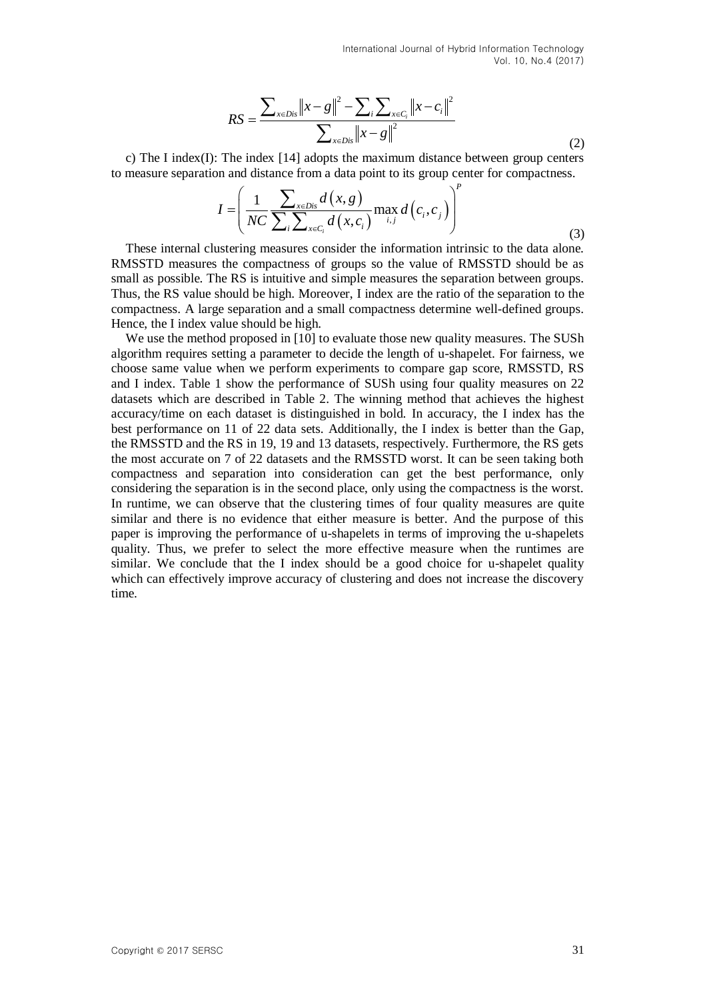International Journal of Hybrid Information Technology Vol. 10, No.4 (2017)

$$
RS = \frac{\sum_{x \in Dis} ||x - g||^2 - \sum_{i} \sum_{x \in C_i} ||x - c_i||^2}{\sum_{x \in Dis} ||x - g||^2}
$$
(2)

c) The I index(I): The index [\[14\]](#page-12-7) adopts the maximum distance between group centers

to measure separation and distance from a data point to its group center for compactness.  
\n
$$
I = \left(\frac{1}{NC} \frac{\sum_{x \in Dis} d(x, g)}{\sum_{i} \sum_{x \in C_i} d(x, c_i)} \max_{i, j} d(c_i, c_j)\right)^p
$$
\n(3)

These internal clustering measures consider the information intrinsic to the data alone. RMSSTD measures the compactness of groups so the value of RMSSTD should be as small as possible. The RS is intuitive and simple measures the separation between groups. Thus, the RS value should be high. Moreover, I index are the ratio of the separation to the compactness. A large separation and a small compactness determine well-defined groups. Hence, the I index value should be high.

We use the method proposed in [\[10\]](#page-12-2) to evaluate those new quality measures. The SUSh algorithm requires setting a parameter to decide the length of u-shapelet. For fairness, we choose same value when we perform experiments to compare gap score, RMSSTD, RS and I index. Table 1 show the performance of SUSh using four quality measures on 22 datasets which are described in Table 2. The winning method that achieves the highest accuracy/time on each dataset is distinguished in bold. In accuracy, the I index has the best performance on 11 of 22 data sets. Additionally, the I index is better than the Gap, the RMSSTD and the RS in 19, 19 and 13 datasets, respectively. Furthermore, the RS gets the most accurate on 7 of 22 datasets and the RMSSTD worst. It can be seen taking both compactness and separation into consideration can get the best performance, only considering the separation is in the second place, only using the compactness is the worst. In runtime, we can observe that the clustering times of four quality measures are quite similar and there is no evidence that either measure is better. And the purpose of this paper is improving the performance of u-shapelets in terms of improving the u-shapelets quality. Thus, we prefer to select the more effective measure when the runtimes are similar. We conclude that the I index should be a good choice for u-shapelet quality which can effectively improve accuracy of clustering and does not increase the discovery time.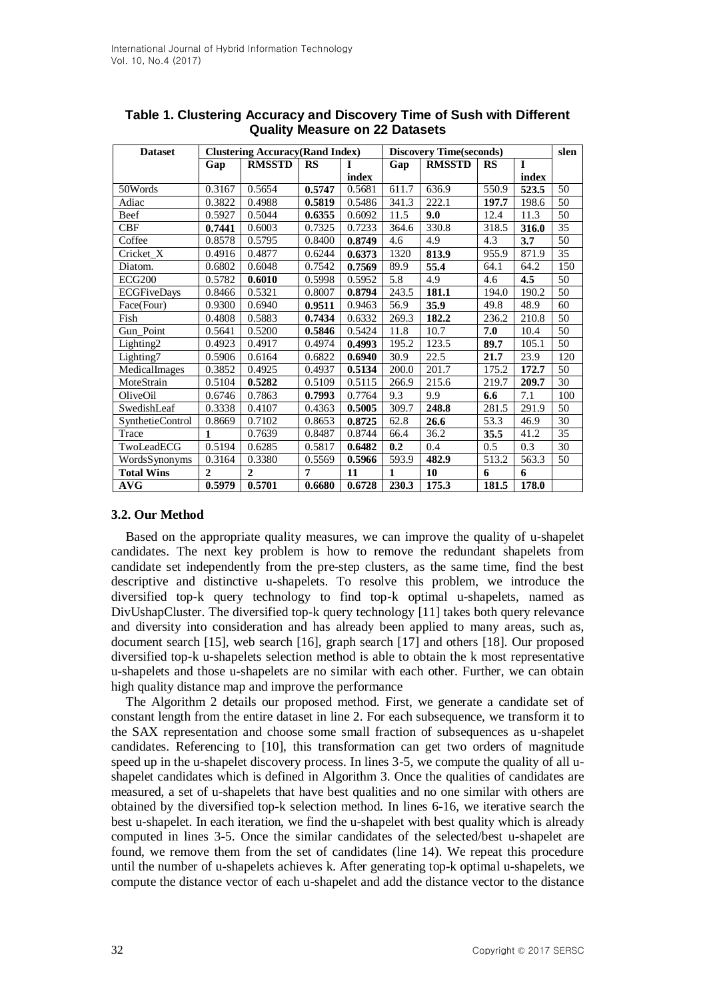| <b>Dataset</b>     | <b>Clustering Accuracy(Rand Index)</b> |               |           |        | <b>Discovery Time(seconds)</b> |               |           |              | slen            |
|--------------------|----------------------------------------|---------------|-----------|--------|--------------------------------|---------------|-----------|--------------|-----------------|
|                    | Gap                                    | <b>RMSSTD</b> | <b>RS</b> | Т      | Gap                            | <b>RMSSTD</b> | <b>RS</b> | $\mathbf{I}$ |                 |
|                    |                                        |               |           | index  |                                |               |           | index        |                 |
| 50Words            | 0.3167                                 | 0.5654        | 0.5747    | 0.5681 | 611.7                          | 636.9         | 550.9     | 523.5        | 50              |
| Adiac              | 0.3822                                 | 0.4988        | 0.5819    | 0.5486 | 341.3                          | 222.1         | 197.7     | 198.6        | 50              |
| Beef               | 0.5927                                 | 0.5044        | 0.6355    | 0.6092 | 11.5                           | 9.0           | 12.4      | 11.3         | 50              |
| <b>CBF</b>         | 0.7441                                 | 0.6003        | 0.7325    | 0.7233 | 364.6                          | 330.8         | 318.5     | 316.0        | 35              |
| Coffee             | 0.8578                                 | 0.5795        | 0.8400    | 0.8749 | 4.6                            | 4.9           | 4.3       | 3.7          | $\overline{50}$ |
| Cricket X          | 0.4916                                 | 0.4877        | 0.6244    | 0.6373 | 1320                           | 813.9         | 955.9     | 871.9        | 35              |
| Diatom.            | 0.6802                                 | 0.6048        | 0.7542    | 0.7569 | 89.9                           | 55.4          | 64.1      | 64.2         | 150             |
| ECG200             | 0.5782                                 | 0.6010        | 0.5998    | 0.5952 | 5.8                            | 4.9           | 4.6       | 4.5          | 50              |
| <b>ECGFiveDays</b> | 0.8466                                 | 0.5321        | 0.8007    | 0.8794 | 243.5                          | 181.1         | 194.0     | 190.2        | $\overline{50}$ |
| Face(Four)         | 0.9300                                 | 0.6940        | 0.9511    | 0.9463 | 56.9                           | 35.9          | 49.8      | 48.9         | 60              |
| Fish               | 0.4808                                 | 0.5883        | 0.7434    | 0.6332 | 269.3                          | 182.2         | 236.2     | 210.8        | 50              |
| Gun_Point          | 0.5641                                 | 0.5200        | 0.5846    | 0.5424 | 11.8                           | 10.7          | 7.0       | 10.4         | 50              |
| Lighting2          | 0.4923                                 | 0.4917        | 0.4974    | 0.4993 | 195.2                          | 123.5         | 89.7      | 105.1        | 50              |
| Lighting7          | 0.5906                                 | 0.6164        | 0.6822    | 0.6940 | 30.9                           | 22.5          | 21.7      | 23.9         | 120             |
| MedicalImages      | 0.3852                                 | 0.4925        | 0.4937    | 0.5134 | 200.0                          | 201.7         | 175.2     | 172.7        | 50              |
| MoteStrain         | 0.5104                                 | 0.5282        | 0.5109    | 0.5115 | 266.9                          | 215.6         | 219.7     | 209.7        | 30              |
| OliveOil           | 0.6746                                 | 0.7863        | 0.7993    | 0.7764 | 9.3                            | 9.9           | 6.6       | 7.1          | 100             |
| SwedishLeaf        | 0.3338                                 | 0.4107        | 0.4363    | 0.5005 | 309.7                          | 248.8         | 281.5     | 291.9        | 50              |
| SynthetieControl   | 0.8669                                 | 0.7102        | 0.8653    | 0.8725 | 62.8                           | 26.6          | 53.3      | 46.9         | 30              |
| Trace              | 1                                      | 0.7639        | 0.8487    | 0.8744 | 66.4                           | 36.2          | 35.5      | 41.2         | 35              |
| TwoLeadECG         | 0.5194                                 | 0.6285        | 0.5817    | 0.6482 | 0.2                            | 0.4           | 0.5       | 0.3          | 30              |
| WordsSynonyms      | 0.3164                                 | 0.3380        | 0.5569    | 0.5966 | 593.9                          | 482.9         | 513.2     | 563.3        | 50              |
| <b>Total Wins</b>  | $\overline{2}$                         | $\mathbf{2}$  | 7         | 11     | 1                              | 10            | 6         | 6            |                 |
| <b>AVG</b>         | 0.5979                                 | 0.5701        | 0.6680    | 0.6728 | 230.3                          | 175.3         | 181.5     | 178.0        |                 |

# **Table 1. Clustering Accuracy and Discovery Time of Sush with Different Quality Measure on 22 Datasets**

### **3.2. Our Method**

Based on the appropriate quality measures, we can improve the quality of u-shapelet candidates. The next key problem is how to remove the redundant shapelets from candidate set independently from the pre-step clusters, as the same time, find the best descriptive and distinctive u-shapelets. To resolve this problem, we introduce the diversified top-k query technology to find top-k optimal u-shapelets, named as DivUshapCluster. The diversified top-k query technology [\[11\]](#page-12-4) takes both query relevance and diversity into consideration and has already been applied to many areas, such as, document search [\[15\],](#page-12-8) web search [\[16\],](#page-12-9) graph search [\[17\]](#page-12-10) and others [\[18\].](#page-12-11) Our proposed diversified top-k u-shapelets selection method is able to obtain the k most representative u-shapelets and those u-shapelets are no similar with each other. Further, we can obtain high quality distance map and improve the performance

The Algorithm 2 details our proposed method. First, we generate a candidate set of constant length from the entire dataset in line 2. For each subsequence, we transform it to the SAX representation and choose some small fraction of subsequences as u-shapelet candidates. Referencing to [\[10\],](#page-12-2) this transformation can get two orders of magnitude speed up in the u-shapelet discovery process. In lines 3-5, we compute the quality of all ushapelet candidates which is defined in Algorithm 3. Once the qualities of candidates are measured, a set of u-shapelets that have best qualities and no one similar with others are obtained by the diversified top-k selection method. In lines 6-16, we iterative search the best u-shapelet. In each iteration, we find the u-shapelet with best quality which is already computed in lines 3-5. Once the similar candidates of the selected/best u-shapelet are found, we remove them from the set of candidates (line 14). We repeat this procedure until the number of u-shapelets achieves k. After generating top-k optimal u-shapelets, we compute the distance vector of each u-shapelet and add the distance vector to the distance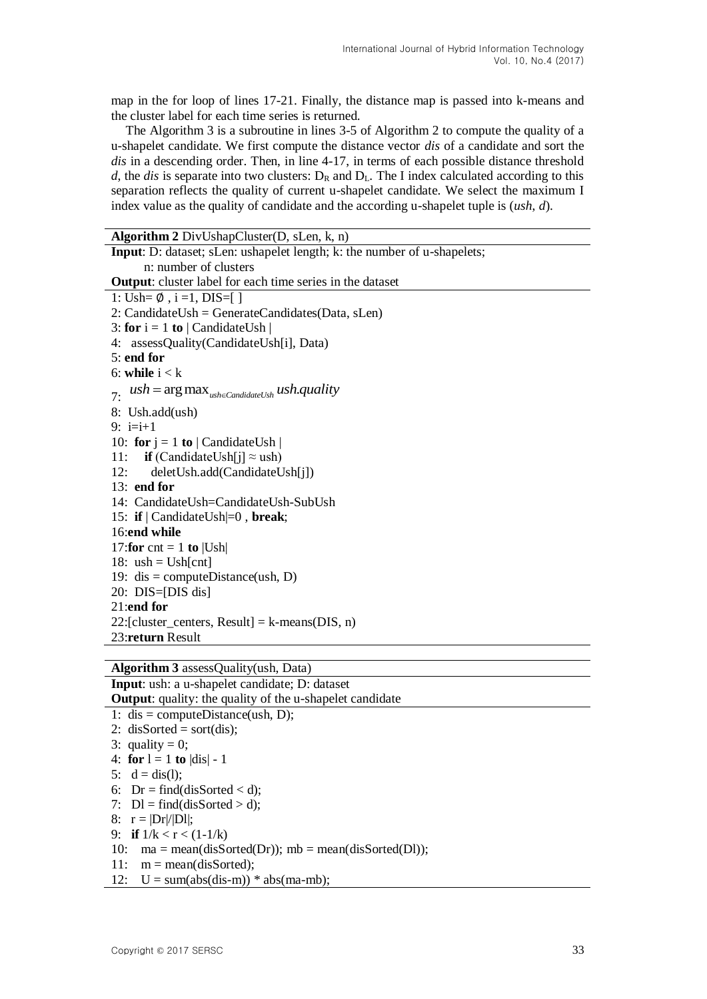map in the for loop of lines 17-21. Finally, the distance map is passed into k-means and the cluster label for each time series is returned.

The Algorithm 3 is a subroutine in lines 3-5 of Algorithm 2 to compute the quality of a u-shapelet candidate. We first compute the distance vector *dis* of a candidate and sort the *dis* in a descending order. Then, in line 4-17, in terms of each possible distance threshold *d*, the *dis* is separate into two clusters:  $D_R$  and  $D_L$ . The I index calculated according to this separation reflects the quality of current u-shapelet candidate. We select the maximum I index value as the quality of candidate and the according u-shapelet tuple is (*ush*, *d*).

| <b>Algorithm 2</b> DivUshapCluster(D, sLen, k, n)                        |  |  |  |  |  |
|--------------------------------------------------------------------------|--|--|--|--|--|
| Input: D: dataset; sLen: ushapelet length; k: the number of u-shapelets; |  |  |  |  |  |
| n: number of clusters                                                    |  |  |  |  |  |
| <b>Output:</b> cluster label for each time series in the dataset         |  |  |  |  |  |
| 1: Ush= $\emptyset$ , i = 1, DIS=[]                                      |  |  |  |  |  |
| $2:$ CandidateUsh = GenerateCandidates(Data, sLen)                       |  |  |  |  |  |
| 3: for $i = 1$ to   CandidateUsh                                         |  |  |  |  |  |
| 4: assessQuality(CandidateUsh[i], Data)                                  |  |  |  |  |  |
| $5:$ end for                                                             |  |  |  |  |  |
| 6: while $i < k$                                                         |  |  |  |  |  |
| 7. $ush = \arg \max_{ush \in CandidateUsh} ush.quality$                  |  |  |  |  |  |
| 8: Ush.add(ush)                                                          |  |  |  |  |  |
| 9: $i=i+1$                                                               |  |  |  |  |  |
| 10: for $j = 1$ to   CandidateUsh                                        |  |  |  |  |  |
| 11: <b>if</b> (CandidateUsh[j] $\approx$ ush)                            |  |  |  |  |  |
| deletUsh.add(CandidateUsh[j])<br>12:                                     |  |  |  |  |  |
| $13:$ end for                                                            |  |  |  |  |  |
| 14: CandidateUsh=CandidateUsh-SubUsh                                     |  |  |  |  |  |
| 15: if $\vert$ CandidateUsh $\vert = 0$ , break;                         |  |  |  |  |  |
| 16:end while                                                             |  |  |  |  |  |
| 17: for cnt = 1 to $ Ush $                                               |  |  |  |  |  |
| 18: $ush = Ush[cnt]$                                                     |  |  |  |  |  |
| 19: dis = computeDistance(ush, D)                                        |  |  |  |  |  |
| $20: DIS=[DIS dis]$                                                      |  |  |  |  |  |
| $21$ :end for                                                            |  |  |  |  |  |
| 22:[cluster_centers, Result] = $k$ -means(DIS, n)                        |  |  |  |  |  |
| 23:return Result                                                         |  |  |  |  |  |
|                                                                          |  |  |  |  |  |

**Algorithm 3** assessQuality(ush, Data)

**Input**: ush: a u-shapelet candidate; D: dataset **Output:** quality: the quality of the u-shapelet candidate 1: dis = computeDistance(ush, D); 2: disSorted = sort(dis); 3: quality = 0; 4: **for**  $l = 1$  **to**  $|dis| - 1$ 5:  $d = dis(1);$ 6:  $Dr = find(dissorted < d)$ : 7:  $DI = find(dissorted > d);$ 8:  $r = |Dr|/|Dl|$ ; 9: **if**  $1/k < r < (1-1/k)$ 10:  $ma = mean(dissorted(Dr))$ ;  $mb = mean(dissorted(Dl))$ ; 11:  $m = mean(dissorted);$ 12:  $U = sum(abs(dis-m)) * abs(ma-mb);$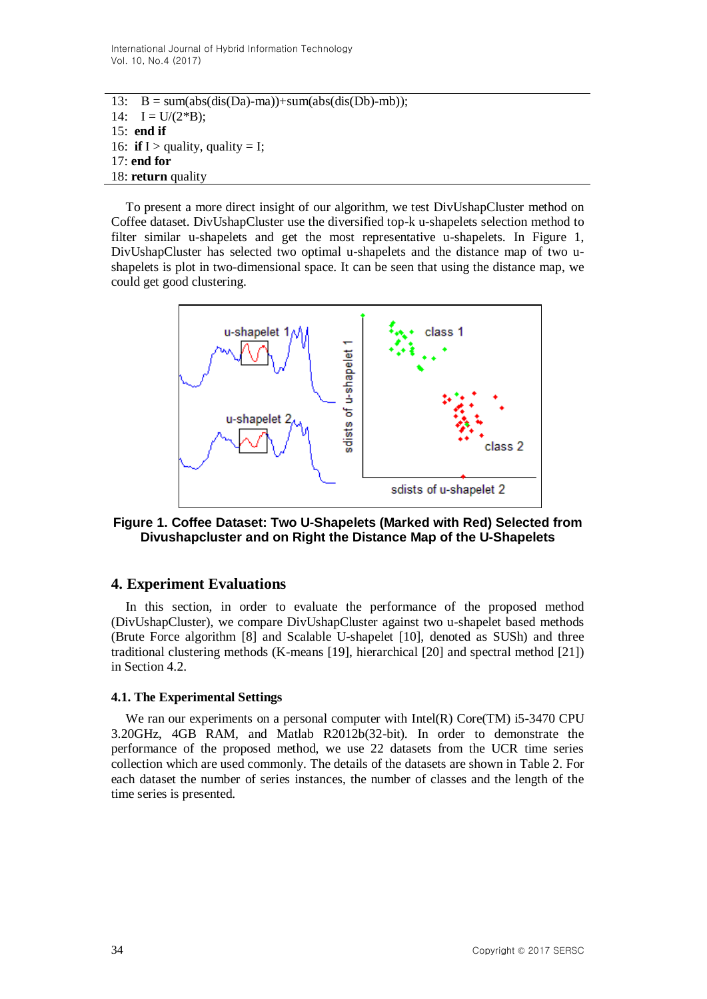13:  $B = sum(abs(dis(Da)-ma)) + sum(abs(dis(Db)-mb))$ ; 14:  $I = U/(2*B);$ 15: **end if** 16: **if** I > quality, quality = I; 17: **end for** 18: **return** quality

To present a more direct insight of our algorithm, we test DivUshapCluster method on Coffee dataset. DivUshapCluster use the diversified top-k u-shapelets selection method to filter similar u-shapelets and get the most representative u-shapelets. In Figure 1, DivUshapCluster has selected two optimal u-shapelets and the distance map of two ushapelets is plot in two-dimensional space. It can be seen that using the distance map, we could get good clustering.



**Figure 1. Coffee Dataset: Two U-Shapelets (Marked with Red) Selected from Divushapcluster and on Right the Distance Map of the U-Shapelets**

# **4. Experiment Evaluations**

In this section, in order to evaluate the performance of the proposed method (DivUshapCluster), we compare DivUshapCluster against two u-shapelet based methods (Brute Force algorithm [\[8\]](#page-12-1) and Scalable U-shapelet [\[10\],](#page-12-2) denoted as SUSh) and three traditional clustering methods (K-means [\[19\],](#page-12-12) hierarchical [\[20\]](#page-12-13) and spectral method [\[21\]\)](#page-12-14) in Section 4.2.

### **4.1. The Experimental Settings**

We ran our experiments on a personal computer with Intel(R) Core(TM) i5-3470 CPU 3.20GHz, 4GB RAM, and Matlab R2012b(32-bit). In order to demonstrate the performance of the proposed method, we use 22 datasets from the UCR time series collection which are used commonly. The details of the datasets are shown in Table 2. For each dataset the number of series instances, the number of classes and the length of the time series is presented.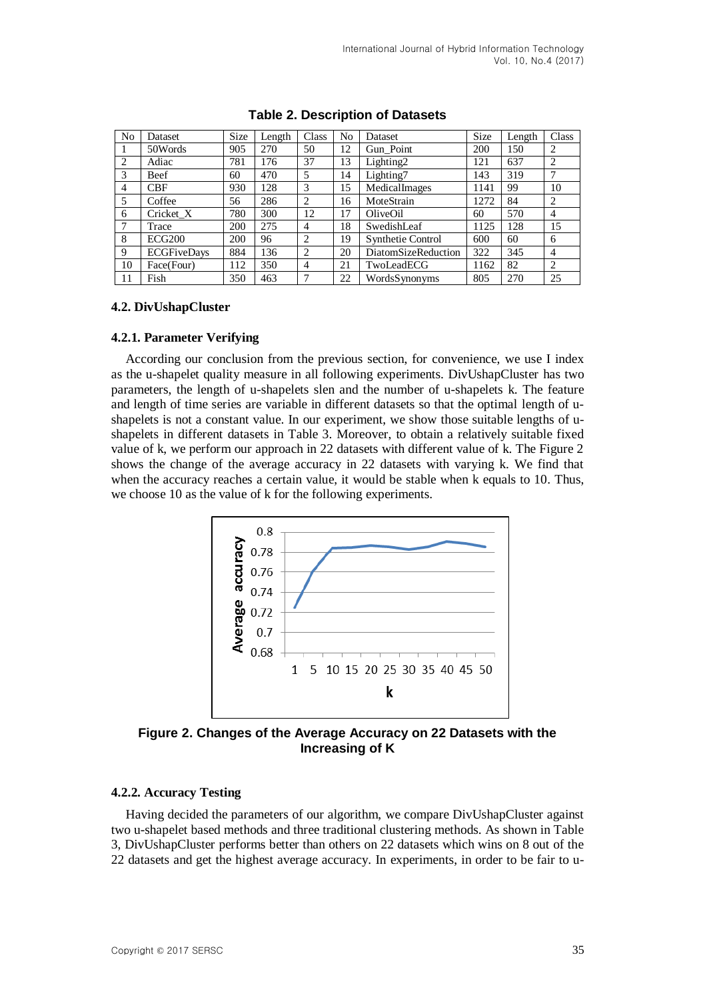| No | Dataset            | Size | Length | Class | No | Dataset                  | <b>Size</b> | Length | Class          |
|----|--------------------|------|--------|-------|----|--------------------------|-------------|--------|----------------|
|    | 50Words            | 905  | 270    | 50    | 12 | Gun Point                | 200         | 150    | 2              |
| 2  | Adiac              | 781  | 176    | 37    | 13 | Lighting <sub>2</sub>    | 121         | 637    | $\overline{c}$ |
| 3  | Beef               | 60   | 470    | 5     | 14 | Lighting7                | 143         | 319    | 7              |
| 4  | <b>CBF</b>         | 930  | 128    | 3     | 15 | MedicalImages            | 1141        | 99     | 10             |
| 5  | Coffee             | 56   | 286    | 2     | 16 | MoteStrain               | 1272        | 84     | 2              |
| 6  | Cricket X          | 780  | 300    | 12    | 17 | OliveOil                 | 60          | 570    | $\overline{4}$ |
|    | Trace              | 200  | 275    | 4     | 18 | SwedishLeaf              | 1125        | 128    | 15             |
| 8  | <b>ECG200</b>      | 200  | 96     | 2     | 19 | <b>Synthetie Control</b> | 600         | 60     | 6              |
| 9  | <b>ECGFiveDays</b> | 884  | 136    | 2     | 20 | DiatomSizeReduction      | 322         | 345    | $\overline{4}$ |
| 10 | Face(Four)         | 112  | 350    | 4     | 21 | TwoLeadECG               | 1162        | 82     | 2              |
| 11 | Fish               | 350  | 463    |       | 22 | WordsSynonyms            | 805         | 270    | 25             |

### **Table 2. Description of Datasets**

### **4.2. DivUshapCluster**

### **4.2.1. Parameter Verifying**

According our conclusion from the previous section, for convenience, we use I index as the u-shapelet quality measure in all following experiments. DivUshapCluster has two parameters, the length of u-shapelets slen and the number of u-shapelets k. The feature and length of time series are variable in different datasets so that the optimal length of ushapelets is not a constant value. In our experiment, we show those suitable lengths of ushapelets in different datasets in Table 3. Moreover, to obtain a relatively suitable fixed value of k, we perform our approach in 22 datasets with different value of k. The Figure 2 shows the change of the average accuracy in 22 datasets with varying k. We find that when the accuracy reaches a certain value, it would be stable when k equals to 10. Thus, we choose 10 as the value of k for the following experiments.



**Figure 2. Changes of the Average Accuracy on 22 Datasets with the Increasing of K**

### **4.2.2. Accuracy Testing**

Having decided the parameters of our algorithm, we compare DivUshapCluster against two u-shapelet based methods and three traditional clustering methods. As shown in Table 3, DivUshapCluster performs better than others on 22 datasets which wins on 8 out of the 22 datasets and get the highest average accuracy. In experiments, in order to be fair to u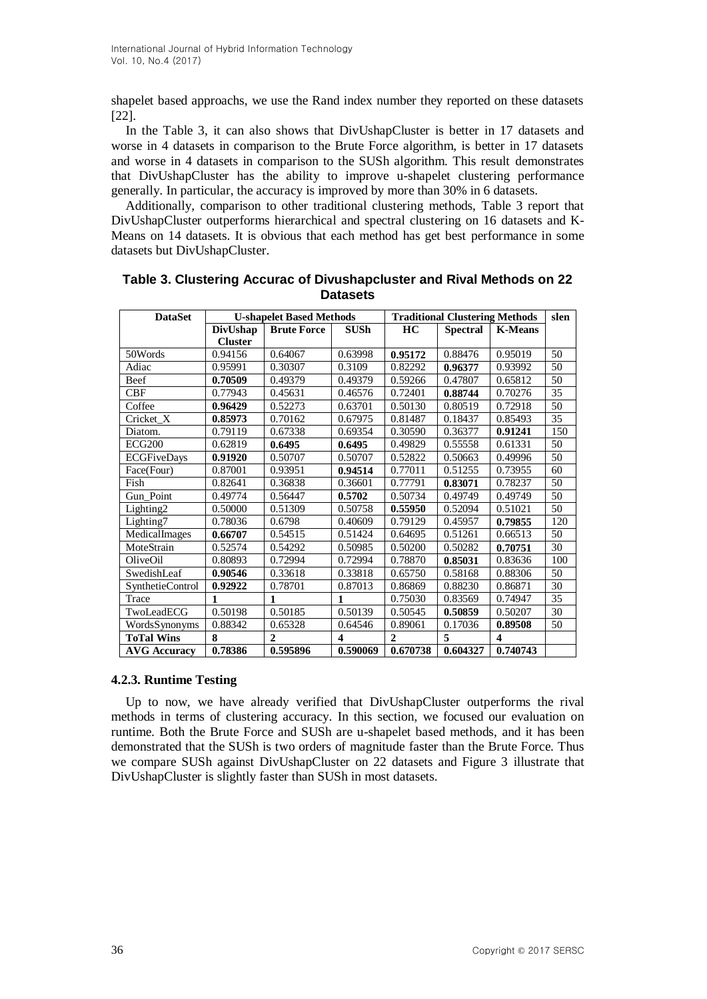shapelet based approachs, we use the Rand index number they reported on these datasets [\[22\].](#page-12-15)

In the Table 3, it can also shows that DivUshapCluster is better in 17 datasets and worse in 4 datasets in comparison to the Brute Force algorithm, is better in 17 datasets and worse in 4 datasets in comparison to the SUSh algorithm. This result demonstrates that DivUshapCluster has the ability to improve u-shapelet clustering performance generally. In particular, the accuracy is improved by more than 30% in 6 datasets.

Additionally, comparison to other traditional clustering methods, Table 3 report that DivUshapCluster outperforms hierarchical and spectral clustering on 16 datasets and K-Means on 14 datasets. It is obvious that each method has get best performance in some datasets but DivUshapCluster.

| <b>DataSet</b>        |                 | <b>U-shapelet Based Methods</b> |                         | <b>Traditional Clustering Methods</b> | slen            |                |                 |
|-----------------------|-----------------|---------------------------------|-------------------------|---------------------------------------|-----------------|----------------|-----------------|
|                       | <b>DivUshap</b> | <b>Brute Force</b>              | <b>SUSh</b>             | HC                                    | <b>Spectral</b> | <b>K-Means</b> |                 |
|                       | <b>Cluster</b>  |                                 |                         |                                       |                 |                |                 |
| 50Words               | 0.94156         | 0.64067                         | 0.63998                 | 0.95172                               | 0.88476         | 0.95019        | 50              |
| Adiac                 | 0.95991         | 0.30307                         | 0.3109                  | 0.82292                               | 0.96377         | 0.93992        | 50              |
| Beef                  | 0.70509         | 0.49379                         | 0.49379                 | 0.59266                               | 0.47807         | 0.65812        | 50              |
| <b>CBF</b>            | 0.77943         | 0.45631                         | 0.46576                 | 0.72401                               | 0.88744         | 0.70276        | 35              |
| Coffee                | 0.96429         | 0.52273                         | 0.63701                 | 0.50130                               | 0.80519         | 0.72918        | $\overline{50}$ |
| Cricket_X             | 0.85973         | 0.70162                         | 0.67975                 | 0.81487                               | 0.18437         | 0.85493        | 35              |
| Diatom.               | 0.79119         | 0.67338                         | 0.69354                 | 0.30590                               | 0.36377         | 0.91241        | 150             |
| ECG200                | 0.62819         | 0.6495                          | 0.6495                  | 0.49829                               | 0.55558         | 0.61331        | 50              |
| <b>ECGFiveDays</b>    | 0.91920         | 0.50707                         | 0.50707                 | 0.52822                               | 0.50663         | 0.49996        | $\overline{50}$ |
| Face(Four)            | 0.87001         | 0.93951                         | 0.94514                 | 0.77011                               | 0.51255         | 0.73955        | 60              |
| Fish                  | 0.82641         | 0.36838                         | 0.36601                 | 0.77791                               | 0.83071         | 0.78237        | 50              |
| Gun_Point             | 0.49774         | 0.56447                         | 0.5702                  | 0.50734                               | 0.49749         | 0.49749        | 50              |
| Lighting <sub>2</sub> | 0.50000         | 0.51309                         | 0.50758                 | 0.55950                               | 0.52094         | 0.51021        | $\overline{50}$ |
| Lighting7             | 0.78036         | 0.6798                          | 0.40609                 | 0.79129                               | 0.45957         | 0.79855        | 120             |
| MedicalImages         | 0.66707         | 0.54515                         | 0.51424                 | 0.64695                               | 0.51261         | 0.66513        | 50              |
| MoteStrain            | 0.52574         | 0.54292                         | 0.50985                 | 0.50200                               | 0.50282         | 0.70751        | 30              |
| OliveOil              | 0.80893         | 0.72994                         | 0.72994                 | 0.78870                               | 0.85031         | 0.83636        | 100             |
| SwedishLeaf           | 0.90546         | 0.33618                         | 0.33818                 | 0.65750                               | 0.58168         | 0.88306        | 50              |
| SynthetieControl      | 0.92922         | 0.78701                         | 0.87013                 | 0.86869                               | 0.88230         | 0.86871        | 30              |
| Trace                 | 1               | $\mathbf{1}$                    | 1                       | 0.75030                               | 0.83569         | 0.74947        | 35              |
| TwoLeadECG            | 0.50198         | 0.50185                         | 0.50139                 | 0.50545                               | 0.50859         | 0.50207        | 30              |
| WordsSynonyms         | 0.88342         | 0.65328                         | 0.64546                 | 0.89061                               | 0.17036         | 0.89508        | 50              |
| <b>ToTal Wins</b>     | 8               | $\overline{2}$                  | $\overline{\mathbf{4}}$ | $\mathbf{2}$                          | 5               | 4              |                 |
| <b>AVG Accuracy</b>   | 0.78386         | 0.595896                        | 0.590069                | 0.670738                              | 0.604327        | 0.740743       |                 |

**Table 3. Clustering Accurac of Divushapcluster and Rival Methods on 22 Datasets**

### **4.2.3. Runtime Testing**

Up to now, we have already verified that DivUshapCluster outperforms the rival methods in terms of clustering accuracy. In this section, we focused our evaluation on runtime. Both the Brute Force and SUSh are u-shapelet based methods, and it has been demonstrated that the SUSh is two orders of magnitude faster than the Brute Force. Thus we compare SUSh against DivUshapCluster on 22 datasets and Figure 3 illustrate that DivUshapCluster is slightly faster than SUSh in most datasets.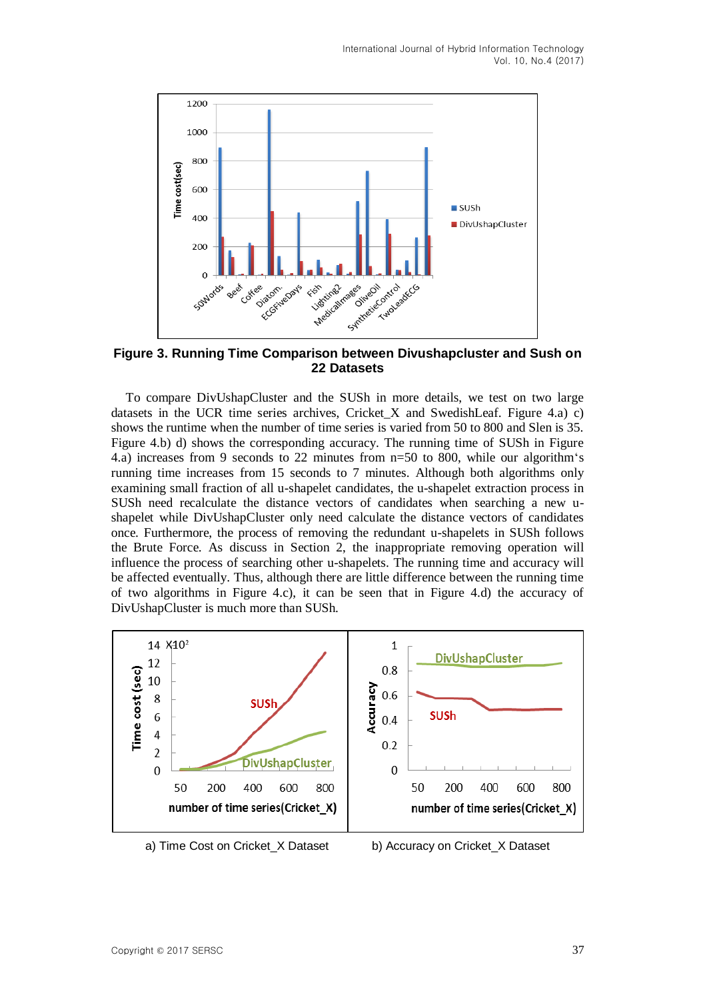

**Figure 3. Running Time Comparison between Divushapcluster and Sush on 22 Datasets**

To compare DivUshapCluster and the SUSh in more details, we test on two large datasets in the UCR time series archives, Cricket X and SwedishLeaf. Figure 4.a) c) shows the runtime when the number of time series is varied from 50 to 800 and Slen is 35. Figure 4.b) d) shows the corresponding accuracy. The running time of SUSh in Figure 4.a) increases from 9 seconds to 22 minutes from n=50 to 800, while our algorithm's running time increases from 15 seconds to 7 minutes. Although both algorithms only examining small fraction of all u-shapelet candidates, the u-shapelet extraction process in SUSh need recalculate the distance vectors of candidates when searching a new ushapelet while DivUshapCluster only need calculate the distance vectors of candidates once. Furthermore, the process of removing the redundant u-shapelets in SUSh follows the Brute Force. As discuss in Section 2, the inappropriate removing operation will influence the process of searching other u-shapelets. The running time and accuracy will be affected eventually. Thus, although there are little difference between the running time of two algorithms in Figure 4.c), it can be seen that in Figure 4.d) the accuracy of DivUshapCluster is much more than SUSh.



- 
- a) Time Cost on Cricket\_X Dataset b) Accuracy on Cricket\_X Dataset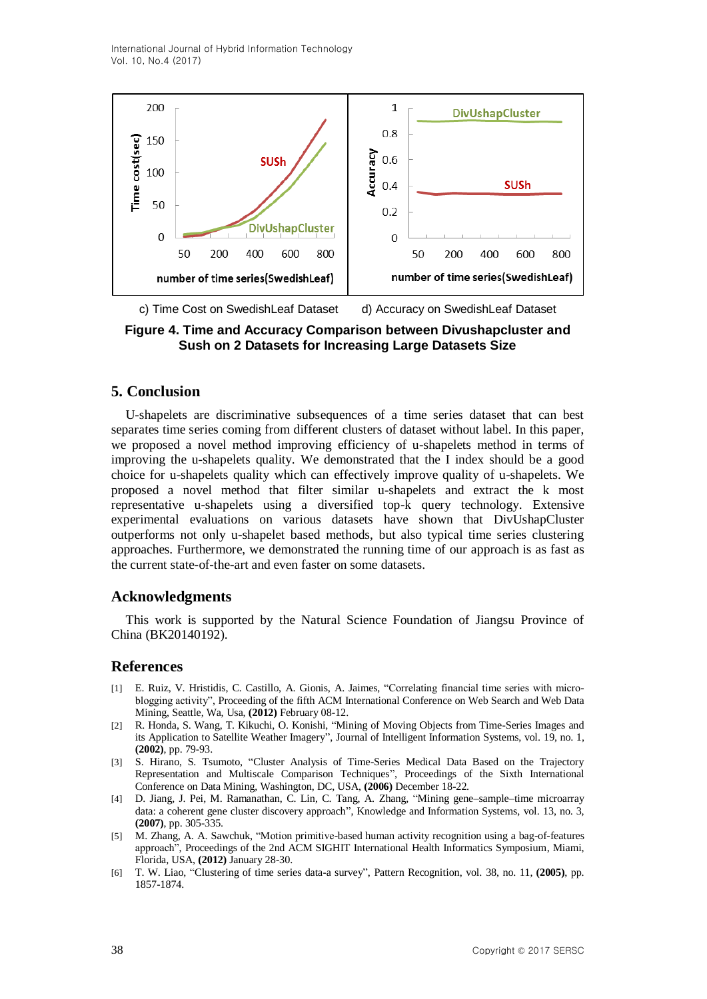International Journal of Hybrid Information Technology Vol. 10, No.4 (2017)



**Figure 4. Time and Accuracy Comparison between Divushapcluster and Sush on 2 Datasets for Increasing Large Datasets Size**

## **5. Conclusion**

U-shapelets are discriminative subsequences of a time series dataset that can best separates time series coming from different clusters of dataset without label. In this paper, we proposed a novel method improving efficiency of u-shapelets method in terms of improving the u-shapelets quality. We demonstrated that the I index should be a good choice for u-shapelets quality which can effectively improve quality of u-shapelets. We proposed a novel method that filter similar u-shapelets and extract the k most representative u-shapelets using a diversified top-k query technology. Extensive experimental evaluations on various datasets have shown that DivUshapCluster outperforms not only u-shapelet based methods, but also typical time series clustering approaches. Furthermore, we demonstrated the running time of our approach is as fast as the current state-of-the-art and even faster on some datasets.

### **Acknowledgments**

This work is supported by the Natural Science Foundation of Jiangsu Province of China (BK20140192).

### **References**

- <span id="page-11-0"></span>[1] E. Ruiz, V. Hristidis, C. Castillo, A. Gionis, A. Jaimes, "Correlating financial time series with microblogging activity", Proceeding of the fifth ACM International Conference on Web Search and Web Data Mining, Seattle, Wa, Usa, **(2012)** February 08-12.
- <span id="page-11-1"></span>[2] R. Honda, S. Wang, T. Kikuchi, O. Konishi, "Mining of Moving Objects from Time-Series Images and its Application to Satellite Weather Imagery", Journal of Intelligent Information Systems, vol. 19, no. 1, **(2002)**, pp. 79-93.
- <span id="page-11-2"></span>[3] S. Hirano, S. Tsumoto, "Cluster Analysis of Time-Series Medical Data Based on the Trajectory Representation and Multiscale Comparison Techniques", Proceedings of the Sixth International Conference on Data Mining, Washington, DC, USA, **(2006)** December 18-22.
- <span id="page-11-3"></span>[4] D. Jiang, J. Pei, M. Ramanathan, C. Lin, C. Tang, A. Zhang, "Mining gene–sample–time microarray data: a coherent gene cluster discovery approach", Knowledge and Information Systems, vol. 13, no. 3, **(2007)**, pp. 305-335.
- <span id="page-11-4"></span>[5] M. Zhang, A. A. Sawchuk, "Motion primitive-based human activity recognition using a bag-of-features approach", Proceedings of the 2nd ACM SIGHIT International Health Informatics Symposium, Miami, Florida, USA, **(2012)** January 28-30.
- <span id="page-11-5"></span>[6] T. W. Liao, "Clustering of time series data-a survey", Pattern Recognition, vol. 38, no. 11, (2005), pp. 1857-1874.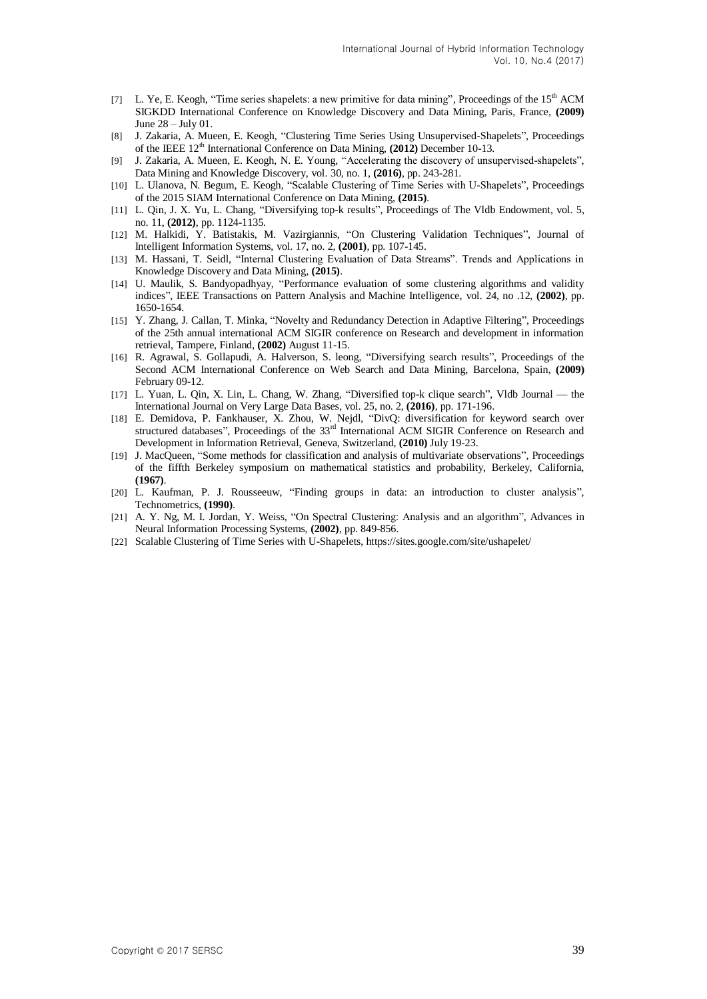- <span id="page-12-0"></span>[7] L. Ye, E. Keogh, "Time series shapelets: a new primitive for data mining", Proceedings of the  $15<sup>th</sup>$  ACM SIGKDD International Conference on Knowledge Discovery and Data Mining, Paris, France, **(2009)** June 28 – July 01.
- <span id="page-12-1"></span>[8] J. Zakaria, A. Mueen, E. Keogh, "Clustering Time Series Using Unsupervised-Shapelets", Proceedings of the IEEE 12<sup>th</sup> International Conference on Data Mining, (2012) December 10-13.
- <span id="page-12-3"></span>[9] J. Zakaria, A. Mueen, E. Keogh, N. E. Young, "Accelerating the discovery of unsupervised-shapelets", Data Mining and Knowledge Discovery, vol. 30, no. 1, **(2016)**, pp. 243-281.
- <span id="page-12-2"></span>[10] L. Ulanova, N. Begum, E. Keogh, "Scalable Clustering of Time Series with U-Shapelets", Proceedings of the 2015 SIAM International Conference on Data Mining, **(2015)**.
- <span id="page-12-4"></span>[11] L. Qin, J. X. Yu, L. Chang, "Diversifying top-k results", Proceedings of The Vldb Endowment, vol. 5, no. 11, **(2012)**, pp. 1124-1135.
- <span id="page-12-5"></span>[12] M. Halkidi, Y. Batistakis, M. Vazirgiannis, "On Clustering Validation Techniques", Journal of Intelligent Information Systems, vol. 17, no. 2, **(2001)**, pp. 107-145.
- <span id="page-12-6"></span>[13] M. Hassani, T. Seidl, "Internal Clustering Evaluation of Data Streams". Trends and Applications in Knowledge Discovery and Data Mining, **(2015)**.
- <span id="page-12-7"></span>[14] U. Maulik, S. Bandyopadhyay, "Performance evaluation of some clustering algorithms and validity indices‖, IEEE Transactions on Pattern Analysis and Machine Intelligence, vol. 24, no .12, **(2002)**, pp. 1650-1654.
- <span id="page-12-8"></span>[15] Y. Zhang, J. Callan, T. Minka, "Novelty and Redundancy Detection in Adaptive Filtering", Proceedings of the 25th annual international ACM SIGIR conference on Research and development in information retrieval, Tampere, Finland, **(2002)** August 11-15.
- <span id="page-12-9"></span>[16] R. Agrawal, S. Gollapudi, A. Halverson, S. leong, "Diversifying search results", Proceedings of the Second ACM International Conference on Web Search and Data Mining, Barcelona, Spain, **(2009)** February 09-12.
- <span id="page-12-10"></span>[17] L. Yuan, L. Qin, X. Lin, L. Chang, W. Zhang, "Diversified top-k clique search", Vldb Journal — the International Journal on Very Large Data Bases, vol. 25, no. 2, **(2016)**, pp. 171-196.
- <span id="page-12-11"></span>[18] E. Demidova, P. Fankhauser, X. Zhou, W. Nejdl, "DivQ: diversification for keyword search over structured databases", Proceedings of the 33<sup>rd</sup> International ACM SIGIR Conference on Research and Development in Information Retrieval, Geneva, Switzerland, **(2010)** July 19-23.
- <span id="page-12-12"></span>[19] J. MacQueen, "Some methods for classification and analysis of multivariate observations", Proceedings of the fiffth Berkeley symposium on mathematical statistics and probability, Berkeley, California, **(1967)**.
- <span id="page-12-13"></span>[20] L. Kaufman, P. J. Rousseeuw, "Finding groups in data: an introduction to cluster analysis", Technometrics, **(1990)**.
- <span id="page-12-14"></span>[21] A. Y. Ng, M. I. Jordan, Y. Weiss, "On Spectral Clustering: Analysis and an algorithm", Advances in Neural Information Processing Systems, **(2002)**, pp. 849-856.
- <span id="page-12-15"></span>[22] Scalable Clustering of Time Series with U-Shapelets, https://sites.google.com/site/ushapelet/